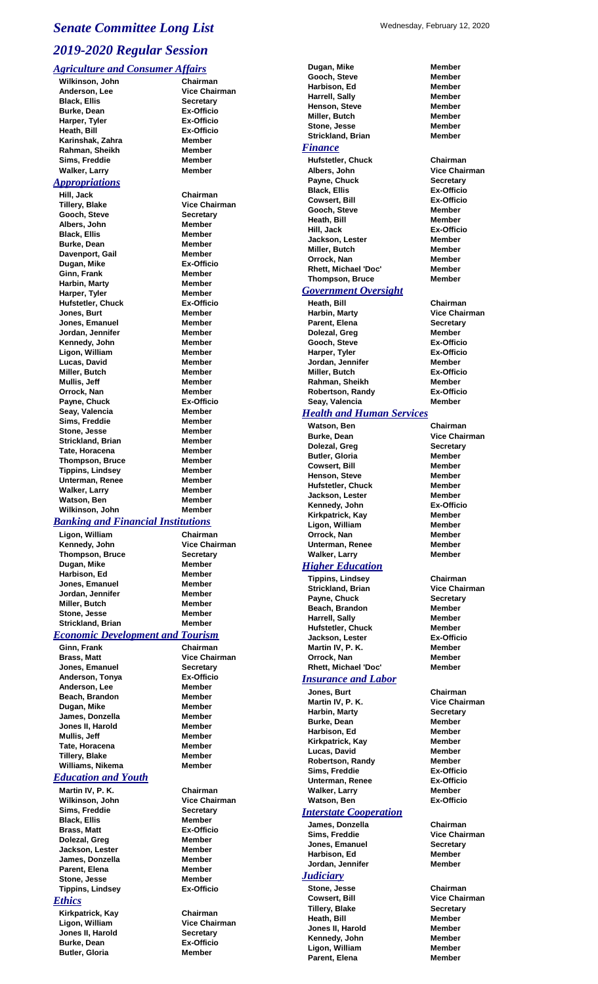# Wednesday, February 12, 2020 *Senate Committee Long List 2019-2020 Regular Session*

### *Agriculture and Consumer Affairs*

**Wilkinson, John Chairman Black, Ellis**<br> **Burke, Dean Burke, Dean Ex-Officio Burke, Dean Ex-Officio Harper, Tyler Ex-Officio Heath, Bill**<br> **Karinshak, Zahra Ex-Offic**<br> **Karinshak, Zahra Member Karinshak, Zahra Member Rahman, Sheikh Sims, Freddie Member Walker, Larry** *Appropriations* **Hill, Jack Chairman Tillery, Blake Vice Chairman Gooch, Steve Secretary Albers, John Member Black, Ellis Member Burke, Dean Member Davenport, Gail Member<br>
Dugan, Mike**<br> **Dugan, Mike Dugan, Mike Ex-Offic**<br> **Ginn, Frank Member Ginn, Frank Harbin, Marty Member Harper**, Tyler **Hufstetler, Chuck Ex-Officio Jones, Burt Member Jones, Emanuel Member Jordan, Jennifer Kennedy, John Member Ligon, William Member Lucas, David Member Miller, Butch Member Mullis, Jeff Member Orrock, Nan Member** Payne, Chuck **Ex-Officio Seay, Valencia Member Sims, Freddie Member Stone, Jesse Member Strickland, Brian Member Tate, Horacena Member Thompson, Bruce Member Tippins, Lindsey Member Unterman, Renee Member Walker, Larry Member Watson, Ben Member Wilkinson, John Member**

**Yice Chairman**<br>Secretary

### *Banking and Financial Institutions*

**Ligon, William Chairman Kennedy, John Thompson, Bruce Secretary Dugan, Mike Member Harbison, Ed Jones, Emanuel Member Jordan, Jennifer Miller, Butch Member Stone, Jesse Strickland, Brian Member**

### *Economic Development and Tourism*

**Ginn, Frank Chairman Brass, Matt Vice Chairman Jones, Emanuel Secretary Anderson, Tonya Ex-Officio Anderson, Lee Member Beach, Brandon Member Dugan, Mike Member James, Donzella Member Jones II, Harold Member Mullis, Jeff Member Tate, Horacena Member Tillery, Blake Member** Williams, Nikema<br>
Member

### *Education and Youth*

**Martin IV, P. K. Chairman Wilkinson, John Vice Chairman Sims, Freddie Secretary Black, Ellis Member Brass, Matt Ex-Officio Dolezal, Greg Member Jackson, Lester Member James, Donzella Member Parent, Elena Member**<br>**Stone, Jesse Member Stone, Jesse Tippins, Lindsey Ex-Officio**

### *Ethics*

**Kirkpatrick, Kay Chairman Ligon, William Vice Chairman Jones II, Harold Secretary Burke, Dean Ex-Officio Butler, Gloria Member**

**Dugan, Mike Member Gooch, Steve Member Harbison, Ed Member Harrell, Sally Henson, Steve Member Miller, Butch Member Stone, Jesse Member Strickland, Brian Member**

## *Finance*

**Hufstetler, Chuck Chairman Albers, John**<br> **Payne, Chuck**<br> **Payne, Chuck**<br> **Payne, Chuck Payne, Chuck Secretary<br>
Black. Ellis Secretary Ex-Officio Black, Ellis Ex-Officio Cowsert, Bill** Ex-Offic<br> **Cooch.** Steve **Member Gooch, Steve Member Heath, Bill Hill, Jack Ex-Officio Jackson, Lester Member Miller, Butch Member<br>
Orrock, Nan Member Orrock, Nan Rhett, Michael 'Doc'** Member<br> **Thompson. Bruce Member Thompson, Bruce** 

### *Government Oversight*

**Heath, Bill Chairman Harbin, Marty Vice Chairman Parent, Elena Secretary Dolezal, Greg Member**<br> **Gooch, Steve Member**<br> **Gooch, Steve Member Gooch, Steve Harper, Tyler Ex-Officio Jordan, Jennifer Member Miller, Butch Ex-Officio Rahman, Sheikh Member Robertson, Randy Ex-Officio Seay, Valencia Member**

### *Health and Human Services*

**Watson, Ben Chairman Burke, Dean Dolezal, Greg Secretary Butler, Gloria Cowsert, Bill Member Henson, Steve Member Hufstetler, Chuck Jackson, Lester Member Kennedy, John Kirkpatrick, Kay Member Ligon, William Orrock, Nan Member Unterman, Renee Walker, Larry Member**

### *Higher Education*

**Tippins, Lindsey Chairman Strickland, Brian Vice Chairman** Payne, Chuck **Secretary Beach, Brandon Member Harrell, Sally Member Hufstetler, Chuck Member Jackson, Lester Ex-Officio Martin IV, P. K. Member Orrock, Nan Member Rhett, Michael 'Doc' Member**

### *Insurance and Labor*

**Jones, Burt Chairman Martin IV, P. K. Harbin, Marty Secretary Burke, Dean Member Harbison, Ed Member Kirkpatrick, Kay Member Lucas, David Member Robertson, Randy Member<br>Sims, Freddie 1988 Ex-Officio Sims, Freddie Unterman, Renee Ex-Officio Walker, Larry Watson, Ben Ex-Officio**

### *Interstate Cooperation*

**James, Donzella Chairman Sims, Freddie Vice Chairman Jones, Emanuel Secretary Harbison, Ed Member Jordan, Jennifer Member**

### *Judiciary*

**Stone, Jesse Chairman Cowsert, Bill Vice Chairman Tillery, Blake Secretary Heath, Bill Member Jones II, Harold Member Kennedy, John Member Ligon, William Member Parent, Elena Member**